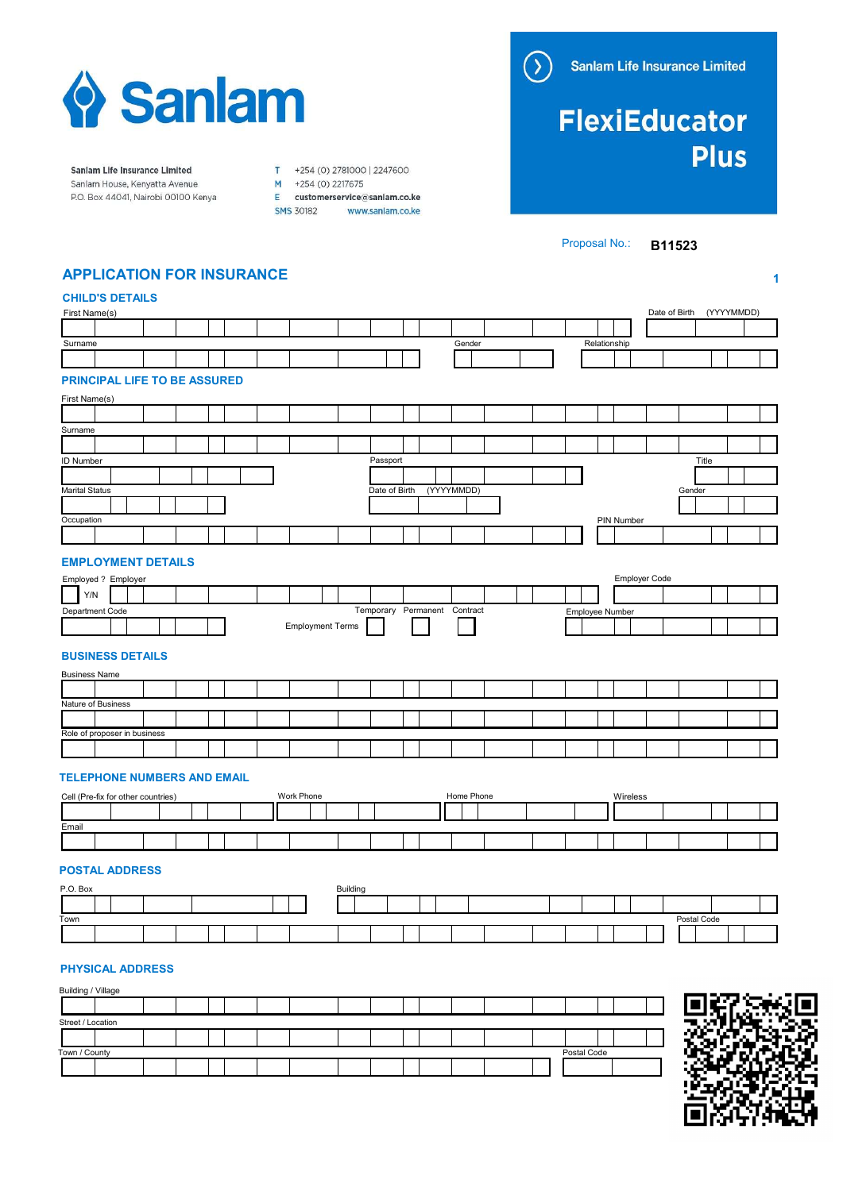

# **FlexiEducator Plus**

Sanlam Life Insurance Limited Sanlam House, Kenyatta Avenue P.O. Box 44041, Nairobi 00100 Kenya

T +254 (0) 2781000 | 2247600 M<br>M +254 (0) 2217675<br>E customerservice@sanlam.co.ke

SMS 30182 www.sanlam.co.ke

Proposal No.: **B11523** 

1

# APPLICATION FOR INSURANCE

# CHILD'S DETAILS

| First Name(s)                                    |                              | Date of Birth (YYYYMMDD) |
|--------------------------------------------------|------------------------------|--------------------------|
|                                                  |                              |                          |
| Surname                                          | Gender                       | Relationship             |
|                                                  |                              |                          |
| <b>PRINCIPAL LIFE TO BE ASSURED</b>              |                              |                          |
|                                                  |                              |                          |
| First Name(s)                                    |                              |                          |
| Surname                                          |                              |                          |
|                                                  |                              |                          |
| <b>ID Number</b>                                 | Passport                     | Title                    |
|                                                  |                              |                          |
| <b>Marital Status</b>                            | Date of Birth<br>(YYYYMMDD)  | Gender                   |
|                                                  |                              |                          |
| Occupation                                       |                              | PIN Number               |
|                                                  |                              |                          |
|                                                  |                              |                          |
| <b>EMPLOYMENT DETAILS</b>                        |                              |                          |
| Employed ? Employer                              |                              | Employer Code            |
| Y/N                                              |                              |                          |
| Department Code                                  | Temporary Permanent Contract | Employee Number          |
| <b>Employment Terms</b>                          |                              |                          |
|                                                  |                              |                          |
| <b>BUSINESS DETAILS</b>                          |                              |                          |
| <b>Business Name</b>                             |                              |                          |
| Nature of Business                               |                              |                          |
|                                                  |                              |                          |
| Role of proposer in business                     |                              |                          |
|                                                  |                              |                          |
|                                                  |                              |                          |
| <b>TELEPHONE NUMBERS AND EMAIL</b>               |                              |                          |
| Cell (Pre-fix for other countries)<br>Work Phone | Home Phone                   | Wireless                 |
|                                                  |                              |                          |
| Email                                            |                              |                          |
|                                                  |                              |                          |
|                                                  |                              |                          |
| <b>POSTAL ADDRESS</b>                            |                              |                          |
| P.O. Box                                         | Building                     |                          |
|                                                  |                              |                          |
| Town                                             |                              | Postal Code              |
|                                                  |                              |                          |

## PHYSICAL ADDRESS

| Building / Village |             |      |
|--------------------|-------------|------|
|                    |             | о н. |
| Street / Location  |             | . .  |
|                    |             |      |
| Town / County      | Postal Code |      |
|                    |             |      |
|                    |             | - -  |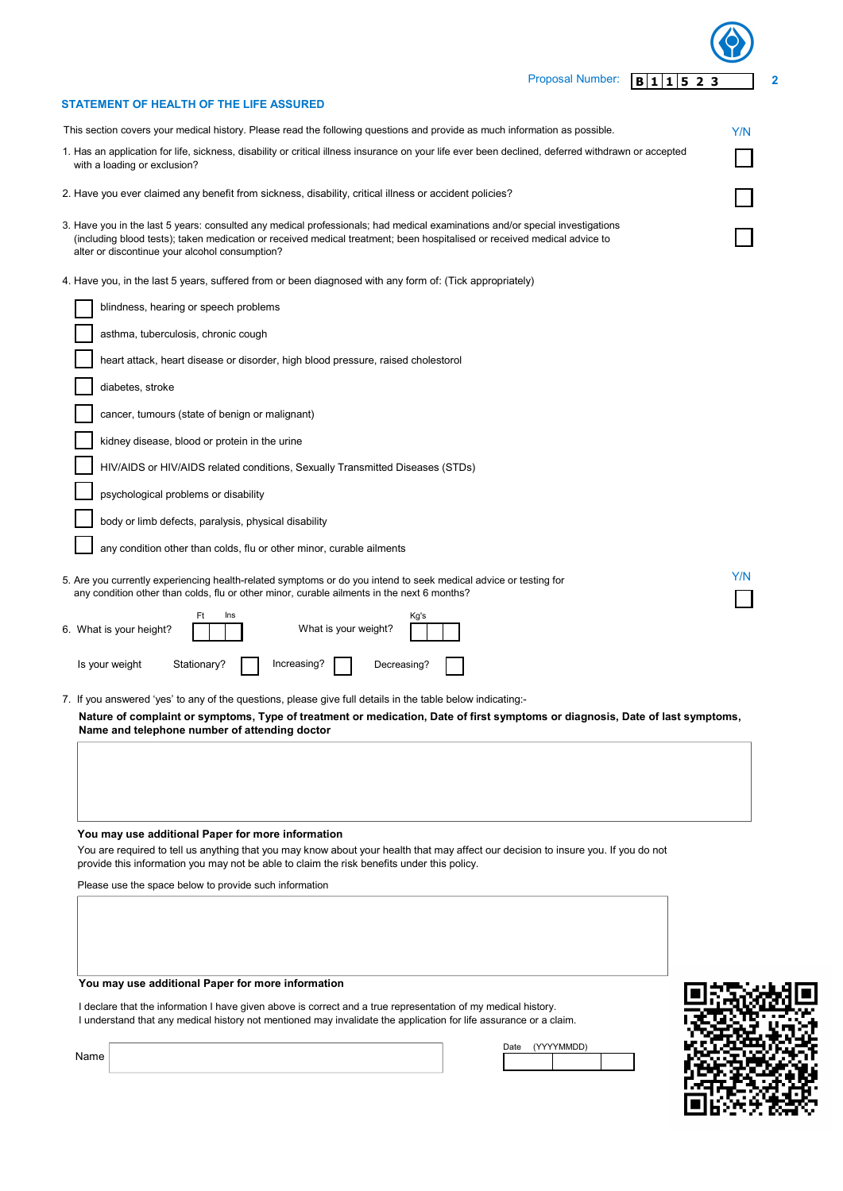| <b>Proposal Number:</b><br>1 1 5 2 3<br>B                                                                                                                                                                                                                                                                  | 2   |
|------------------------------------------------------------------------------------------------------------------------------------------------------------------------------------------------------------------------------------------------------------------------------------------------------------|-----|
| STATEMENT OF HEALTH OF THE LIFE ASSURED                                                                                                                                                                                                                                                                    |     |
| This section covers your medical history. Please read the following questions and provide as much information as possible.                                                                                                                                                                                 | Y/N |
| 1. Has an application for life, sickness, disability or critical illness insurance on your life ever been declined, deferred withdrawn or accepted<br>with a loading or exclusion?                                                                                                                         |     |
| 2. Have you ever claimed any benefit from sickness, disability, critical illness or accident policies?                                                                                                                                                                                                     |     |
| 3. Have you in the last 5 years: consulted any medical professionals; had medical examinations and/or special investigations<br>(including blood tests); taken medication or received medical treatment; been hospitalised or received medical advice to<br>alter or discontinue your alcohol consumption? |     |
| 4. Have you, in the last 5 years, suffered from or been diagnosed with any form of: (Tick appropriately)                                                                                                                                                                                                   |     |
| blindness, hearing or speech problems                                                                                                                                                                                                                                                                      |     |
| asthma, tuberculosis, chronic cough                                                                                                                                                                                                                                                                        |     |
| heart attack, heart disease or disorder, high blood pressure, raised cholestorol                                                                                                                                                                                                                           |     |
| diabetes, stroke                                                                                                                                                                                                                                                                                           |     |
| cancer, tumours (state of benign or malignant)                                                                                                                                                                                                                                                             |     |
| kidney disease, blood or protein in the urine                                                                                                                                                                                                                                                              |     |
| HIV/AIDS or HIV/AIDS related conditions, Sexually Transmitted Diseases (STDs)                                                                                                                                                                                                                              |     |
| psychological problems or disability                                                                                                                                                                                                                                                                       |     |
| body or limb defects, paralysis, physical disability                                                                                                                                                                                                                                                       |     |
| any condition other than colds, flu or other minor, curable ailments                                                                                                                                                                                                                                       |     |
| 5. Are you currently experiencing health-related symptoms or do you intend to seek medical advice or testing for<br>any condition other than colds, flu or other minor, curable ailments in the next 6 months?                                                                                             | Y/N |
| Ft<br>Ins<br>Kg's<br>What is your weight?<br>6. What is your height?                                                                                                                                                                                                                                       |     |
| Is your weight<br>Stationary?<br>Increasing?<br>Decreasing?                                                                                                                                                                                                                                                |     |
| 7. If you answered 'yes' to any of the questions, please give full details in the table below indicating:-<br>Nature of complaint or symptoms, Type of treatment or medication, Date of first symptoms or diagnosis, Date of last symptoms,<br>Name and telephone number of attending doctor               |     |
| You may use additional Paper for more information<br>You are required to tell us anything that you may know about your health that may affect our decision to insure you. If you do not<br>provide this information you may not be able to claim the risk benefits under this policy.                      |     |

Please use the space below to provide such information

### You may use additional Paper for more information

I declare that the information I have given above is correct and a true representation of my medical history. I understand that any medical history not mentioned may invalidate the application for life assurance or a claim.



Date (YYYYMMDD)

Name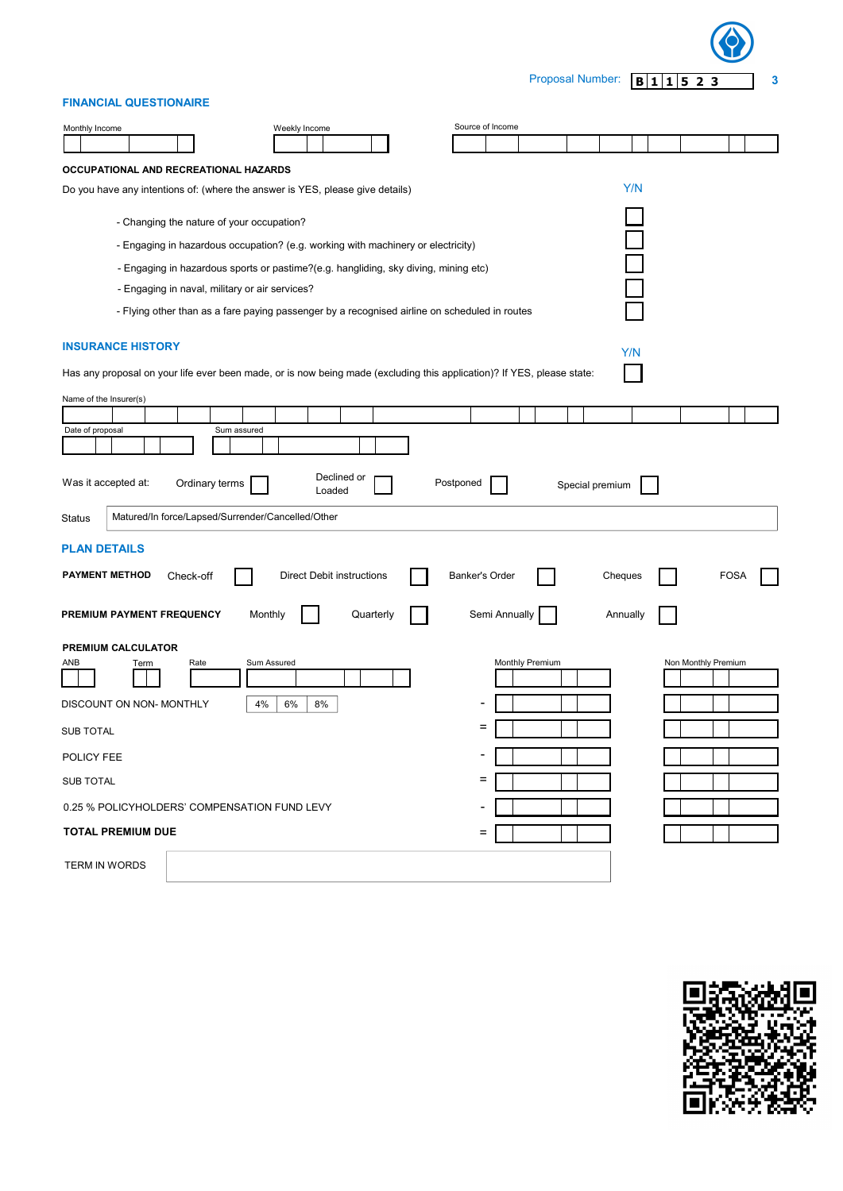

## FINANCIAL QUESTIONAIRE

| Monthly Income                                                                                                         |                                                                                               | Weekly Income                    |           | Source of Income         |                 |  |                 |  |                     |      |  |
|------------------------------------------------------------------------------------------------------------------------|-----------------------------------------------------------------------------------------------|----------------------------------|-----------|--------------------------|-----------------|--|-----------------|--|---------------------|------|--|
|                                                                                                                        |                                                                                               |                                  |           |                          |                 |  |                 |  |                     |      |  |
| OCCUPATIONAL AND RECREATIONAL HAZARDS                                                                                  |                                                                                               |                                  |           |                          |                 |  |                 |  |                     |      |  |
|                                                                                                                        | Do you have any intentions of: (where the answer is YES, please give details)                 |                                  |           |                          |                 |  | Y/N             |  |                     |      |  |
|                                                                                                                        | - Changing the nature of your occupation?                                                     |                                  |           |                          |                 |  |                 |  |                     |      |  |
| - Engaging in hazardous occupation? (e.g. working with machinery or electricity)                                       |                                                                                               |                                  |           |                          |                 |  |                 |  |                     |      |  |
|                                                                                                                        | - Engaging in hazardous sports or pastime?(e.g. hangliding, sky diving, mining etc)           |                                  |           |                          |                 |  |                 |  |                     |      |  |
| - Engaging in naval, military or air services?                                                                         |                                                                                               |                                  |           |                          |                 |  |                 |  |                     |      |  |
|                                                                                                                        | - Flying other than as a fare paying passenger by a recognised airline on scheduled in routes |                                  |           |                          |                 |  |                 |  |                     |      |  |
| <b>INSURANCE HISTORY</b>                                                                                               |                                                                                               |                                  |           |                          |                 |  | Y/N             |  |                     |      |  |
| Has any proposal on your life ever been made, or is now being made (excluding this application)? If YES, please state: |                                                                                               |                                  |           |                          |                 |  |                 |  |                     |      |  |
| Name of the Insurer(s)                                                                                                 |                                                                                               |                                  |           |                          |                 |  |                 |  |                     |      |  |
|                                                                                                                        |                                                                                               |                                  |           |                          |                 |  |                 |  |                     |      |  |
| Date of proposal                                                                                                       | Sum assured                                                                                   |                                  |           |                          |                 |  |                 |  |                     |      |  |
|                                                                                                                        |                                                                                               |                                  |           |                          |                 |  |                 |  |                     |      |  |
| Was it accepted at:                                                                                                    | Ordinary terms                                                                                | Declined or<br>Loaded            |           | Postponed                |                 |  | Special premium |  |                     |      |  |
| <b>Status</b>                                                                                                          | Matured/In force/Lapsed/Surrender/Cancelled/Other                                             |                                  |           |                          |                 |  |                 |  |                     |      |  |
| <b>PLAN DETAILS</b>                                                                                                    |                                                                                               |                                  |           |                          |                 |  |                 |  |                     |      |  |
| <b>PAYMENT METHOD</b>                                                                                                  | Check-off                                                                                     |                                  |           | Banker's Order           |                 |  |                 |  |                     | FOS/ |  |
|                                                                                                                        |                                                                                               | <b>Direct Debit instructions</b> |           |                          |                 |  | Cheques         |  |                     |      |  |
| PREMIUM PAYMENT FREQUENCY                                                                                              | Monthly                                                                                       |                                  | Quarterly |                          | Semi Annually   |  | Annually        |  |                     |      |  |
| PREMIUM CALCULATOR                                                                                                     |                                                                                               |                                  |           |                          |                 |  |                 |  |                     |      |  |
| ANB<br>Term                                                                                                            | Rate                                                                                          | Sum Assured                      |           |                          | Monthly Premium |  |                 |  | Non Monthly Premium |      |  |
|                                                                                                                        |                                                                                               |                                  |           |                          |                 |  |                 |  |                     |      |  |
| DISCOUNT ON NON-MONTHLY                                                                                                | 4%                                                                                            | 6%<br>8%                         |           |                          |                 |  |                 |  |                     |      |  |
| <b>SUB TOTAL</b>                                                                                                       |                                                                                               |                                  |           |                          |                 |  |                 |  |                     |      |  |
| POLICY FEE                                                                                                             |                                                                                               |                                  |           | $\overline{\phantom{0}}$ |                 |  |                 |  |                     |      |  |
| <b>SUB TOTAL</b>                                                                                                       |                                                                                               |                                  |           | Ξ                        |                 |  |                 |  |                     |      |  |
|                                                                                                                        | 0.25 % POLICYHOLDERS' COMPENSATION FUND LEVY                                                  |                                  |           |                          |                 |  |                 |  |                     |      |  |
| <b>TOTAL PREMIUM DUE</b>                                                                                               |                                                                                               |                                  |           | Ξ                        |                 |  |                 |  |                     |      |  |
| <b>TERM IN WORDS</b>                                                                                                   |                                                                                               |                                  |           |                          |                 |  |                 |  |                     |      |  |

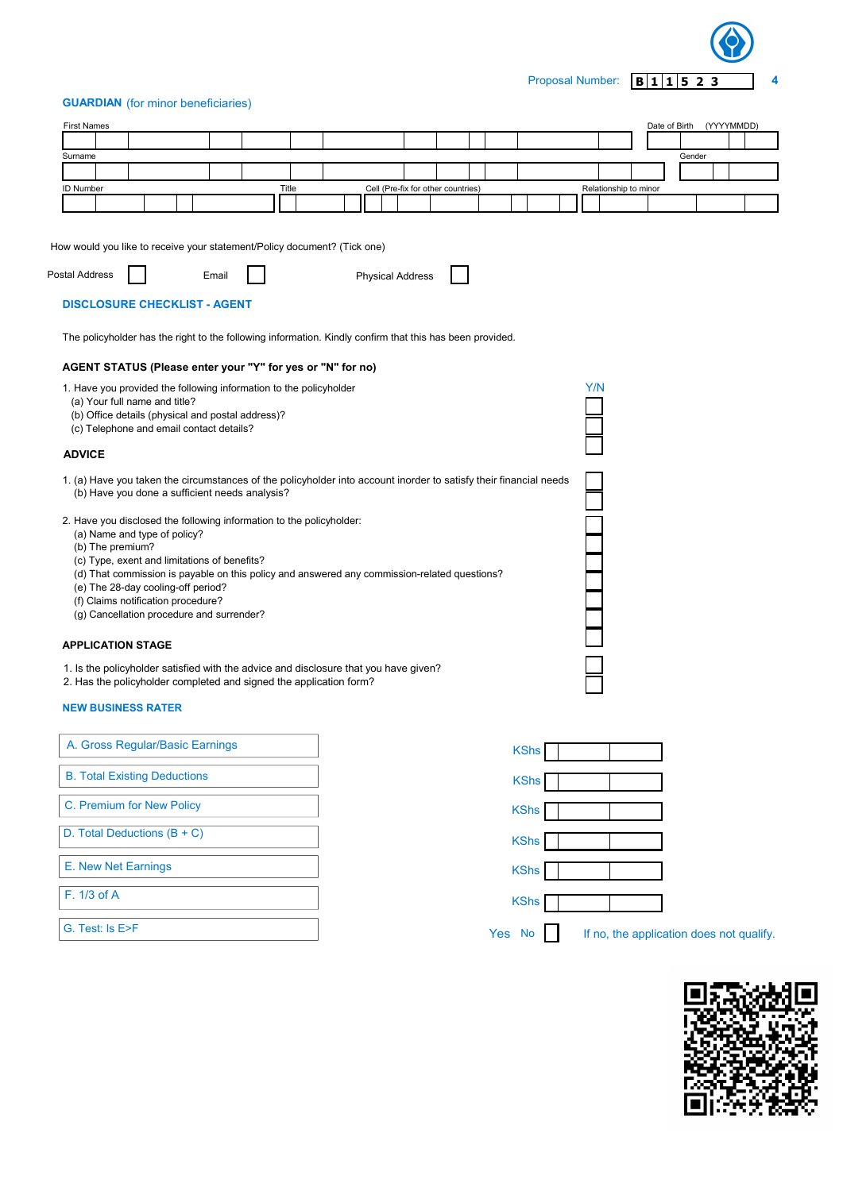Proposal Number: **B 1 1 5 2 3** 4

#### GUARDIAN (for minor beneficiaries)

| <b>First Names</b>                                                       |                                                                                                          |                                                                                                                                                                                                                                                                   |       |                         |                                    |             |     |                       | Date of Birth (YYYYMMDD)                 |  |  |
|--------------------------------------------------------------------------|----------------------------------------------------------------------------------------------------------|-------------------------------------------------------------------------------------------------------------------------------------------------------------------------------------------------------------------------------------------------------------------|-------|-------------------------|------------------------------------|-------------|-----|-----------------------|------------------------------------------|--|--|
|                                                                          |                                                                                                          |                                                                                                                                                                                                                                                                   |       |                         |                                    |             |     |                       |                                          |  |  |
| Surname                                                                  |                                                                                                          |                                                                                                                                                                                                                                                                   |       |                         |                                    |             |     |                       | Gender                                   |  |  |
| <b>ID Number</b>                                                         |                                                                                                          |                                                                                                                                                                                                                                                                   | Title |                         | Cell (Pre-fix for other countries) |             |     | Relationship to minor |                                          |  |  |
|                                                                          |                                                                                                          |                                                                                                                                                                                                                                                                   |       |                         |                                    |             |     |                       |                                          |  |  |
| How would you like to receive your statement/Policy document? (Tick one) |                                                                                                          |                                                                                                                                                                                                                                                                   |       |                         |                                    |             |     |                       |                                          |  |  |
| Postal Address                                                           |                                                                                                          | Email                                                                                                                                                                                                                                                             |       | <b>Physical Address</b> |                                    |             |     |                       |                                          |  |  |
|                                                                          | <b>DISCLOSURE CHECKLIST - AGENT</b>                                                                      |                                                                                                                                                                                                                                                                   |       |                         |                                    |             |     |                       |                                          |  |  |
|                                                                          |                                                                                                          | The policyholder has the right to the following information. Kindly confirm that this has been provided.                                                                                                                                                          |       |                         |                                    |             |     |                       |                                          |  |  |
|                                                                          |                                                                                                          | AGENT STATUS (Please enter your "Y" for yes or "N" for no)                                                                                                                                                                                                        |       |                         |                                    |             |     |                       |                                          |  |  |
|                                                                          | (a) Your full name and title?<br>(c) Telephone and email contact details?                                | 1. Have you provided the following information to the policyholder<br>(b) Office details (physical and postal address)?                                                                                                                                           |       |                         |                                    |             | Y/N |                       |                                          |  |  |
| <b>ADVICE</b>                                                            |                                                                                                          |                                                                                                                                                                                                                                                                   |       |                         |                                    |             |     |                       |                                          |  |  |
|                                                                          |                                                                                                          | 1. (a) Have you taken the circumstances of the policyholder into account inorder to satisfy their financial needs<br>(b) Have you done a sufficient needs analysis?                                                                                               |       |                         |                                    |             |     |                       |                                          |  |  |
| (b) The premium?                                                         | (a) Name and type of policy?<br>(e) The 28-day cooling-off period?<br>(f) Claims notification procedure? | 2. Have you disclosed the following information to the policyholder:<br>(c) Type, exent and limitations of benefits?<br>(d) That commission is payable on this policy and answered any commission-related questions?<br>(g) Cancellation procedure and surrender? |       |                         |                                    |             |     |                       |                                          |  |  |
| <b>APPLICATION STAGE</b>                                                 |                                                                                                          |                                                                                                                                                                                                                                                                   |       |                         |                                    |             |     |                       |                                          |  |  |
|                                                                          |                                                                                                          | 1. Is the policyholder satisfied with the advice and disclosure that you have given?<br>2. Has the policyholder completed and signed the application form?                                                                                                        |       |                         |                                    |             |     |                       |                                          |  |  |
| <b>NEW BUSINESS RATER</b>                                                |                                                                                                          |                                                                                                                                                                                                                                                                   |       |                         |                                    |             |     |                       |                                          |  |  |
|                                                                          | A. Gross Regular/Basic Earnings                                                                          |                                                                                                                                                                                                                                                                   |       |                         |                                    | <b>KShs</b> |     |                       |                                          |  |  |
|                                                                          | <b>B. Total Existing Deductions</b>                                                                      |                                                                                                                                                                                                                                                                   |       |                         |                                    | <b>KShs</b> |     |                       |                                          |  |  |
|                                                                          | C. Premium for New Policy                                                                                |                                                                                                                                                                                                                                                                   |       |                         |                                    | <b>KShs</b> |     |                       |                                          |  |  |
|                                                                          | D. Total Deductions $(B + C)$                                                                            |                                                                                                                                                                                                                                                                   |       |                         |                                    | <b>KShs</b> |     |                       |                                          |  |  |
| E. New Net Earnings                                                      |                                                                                                          |                                                                                                                                                                                                                                                                   |       |                         |                                    | <b>KShs</b> |     |                       |                                          |  |  |
| F. 1/3 of A                                                              |                                                                                                          |                                                                                                                                                                                                                                                                   |       |                         |                                    | <b>KShs</b> |     |                       |                                          |  |  |
| G. Test: Is E>F                                                          |                                                                                                          |                                                                                                                                                                                                                                                                   |       |                         |                                    | Yes No      |     |                       | If no, the application does not qualify. |  |  |